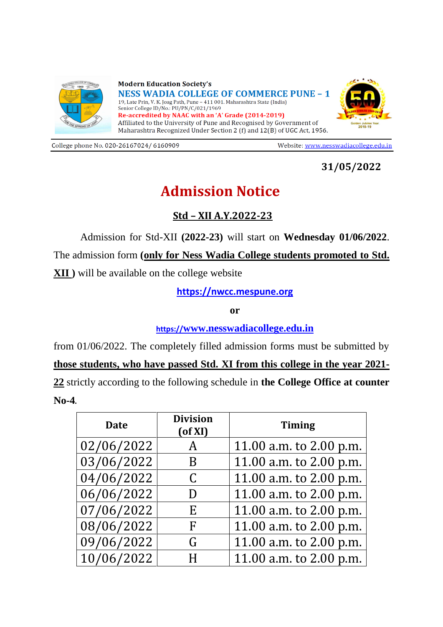

**Modern Education Society's NESS WADIA COLLEGE OF COMMERCE PUNE - 1** 19, Late Prin, V. K. Joag Path, Pune - 411 001. Maharashtra State (India) Senior College ID/No.: PU/PN/C/021/1969 Re-accredited by NAAC with an 'A' Grade (2014-2019) Affiliated to the University of Pune and Recognised by Government of Maharashtra Recognized Under Section 2 (f) and 12(B) of UGC Act, 1956.



College phone No. 020-26167024/ 6160909

Website: www.nesswadiacollege.edu.in

**31/05/2022**

## **Admission Notice**

## **Std – XII A.Y.2022-23**

Admission for Std-XII **(2022-23)** will start on **Wednesday 01/06/2022**. The admission form **(only for Ness Wadia College students promoted to Std. XII )** will be available on the college website

**[https://nwcc.mespune.org](https://nwcc.mespune.org/)**

**or**

**https://[www.nesswadiacollege.edu.in](http://www.nesswadiacollege.edu.in/)**

from 01/06/2022. The completely filled admission forms must be submitted by

**those students, who have passed Std. XI from this college in the year 2021- 22** strictly according to the following schedule in **the College Office at counter No-4**.

| <b>Date</b> | <b>Division</b><br>$($ of XI $)$ | <b>Timing</b>             |
|-------------|----------------------------------|---------------------------|
| 02/06/2022  | A                                | 11.00 a.m. to $2.00$ p.m. |
| 03/06/2022  | B                                | 11.00 a.m. to $2.00$ p.m. |
| 04/06/2022  | C                                | 11.00 a.m. to 2.00 p.m.   |
| 06/06/2022  | D                                | 11.00 a.m. to 2.00 p.m.   |
| 07/06/2022  | E                                | 11.00 a.m. to 2.00 p.m.   |
| 08/06/2022  | F                                | 11.00 a.m. to 2.00 p.m.   |
| 09/06/2022  | G                                | 11.00 a.m. to 2.00 p.m.   |
| 10/06/2022  | H                                | 11.00 a.m. to 2.00 p.m.   |